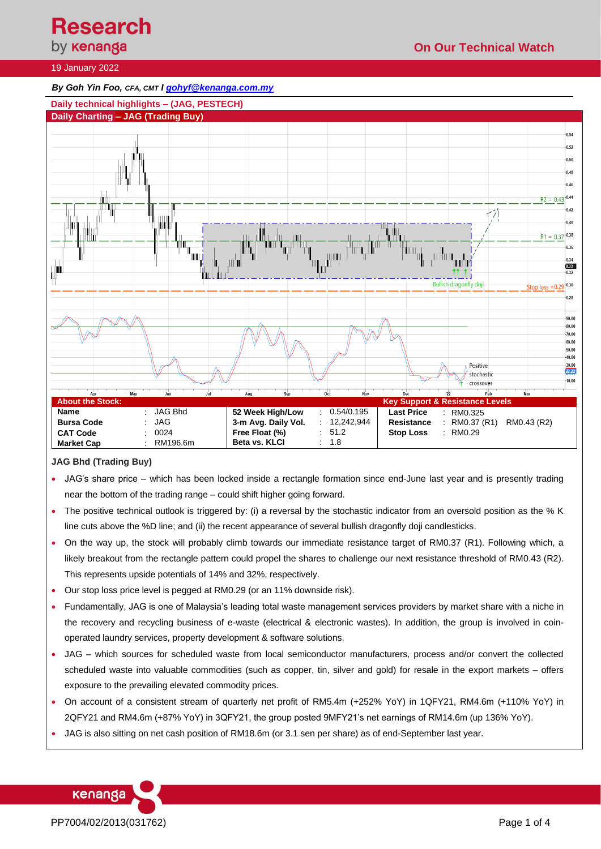# **Research**

# by **kenanga**

# **On Our Technical Watch**

## 19 January 2022

## *By Goh Yin Foo, CFA, CMT [I gohyf@kenanga.com.my](mailto:gohyf@kenanga.com.my)*



## **JAG Bhd (Trading Buy)**

- JAG's share price which has been locked inside a rectangle formation since end-June last year and is presently trading near the bottom of the trading range – could shift higher going forward.
- The positive technical outlook is triggered by: (i) a reversal by the stochastic indicator from an oversold position as the % K line cuts above the %D line; and (ii) the recent appearance of several bullish dragonfly doji candlesticks.
- On the way up, the stock will probably climb towards our immediate resistance target of RM0.37 (R1). Following which, a likely breakout from the rectangle pattern could propel the shares to challenge our next resistance threshold of RM0.43 (R2). This represents upside potentials of 14% and 32%, respectively.
- Our stop loss price level is pegged at RM0.29 (or an 11% downside risk).
- Fundamentally, JAG is one of Malaysia's leading total waste management services providers by market share with a niche in the recovery and recycling business of e-waste (electrical & electronic wastes). In addition, the group is involved in coinoperated laundry services, property development & software solutions.
- JAG which sources for scheduled waste from local semiconductor manufacturers, process and/or convert the collected scheduled waste into valuable commodities (such as copper, tin, silver and gold) for resale in the export markets – offers exposure to the prevailing elevated commodity prices.
- On account of a consistent stream of quarterly net profit of RM5.4m (+252% YoY) in 1QFY21, RM4.6m (+110% YoY) in 2QFY21 and RM4.6m (+87% YoY) in 3QFY21, the group posted 9MFY21's net earnings of RM14.6m (up 136% YoY).
- JAG is also sitting on net cash position of RM18.6m (or 3.1 sen per share) as of end-September last year.



PP7004/02/2013(031762) Page 1 of 4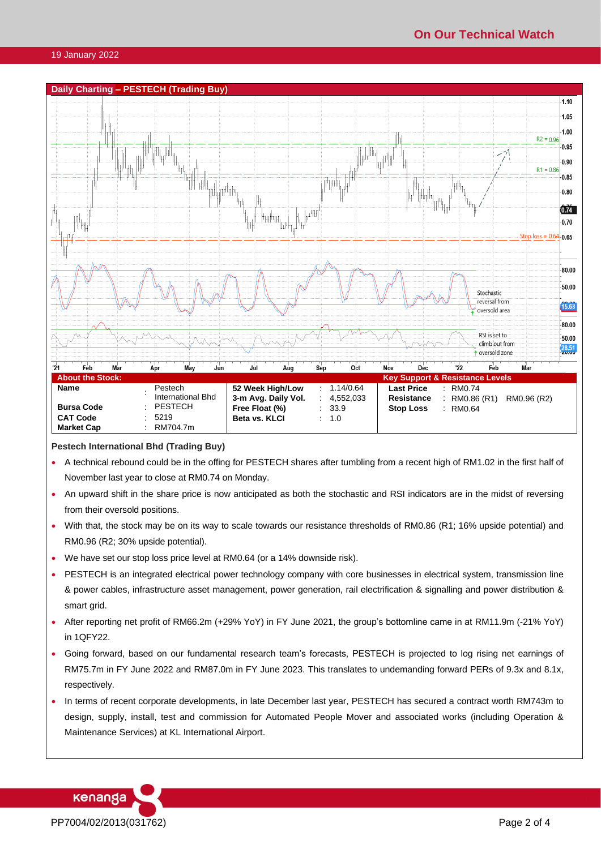

#### **Pestech International Bhd (Trading Buy)**

- A technical rebound could be in the offing for PESTECH shares after tumbling from a recent high of RM1.02 in the first half of November last year to close at RM0.74 on Monday.
- An upward shift in the share price is now anticipated as both the stochastic and RSI indicators are in the midst of reversing from their oversold positions.
- With that, the stock may be on its way to scale towards our resistance thresholds of RM0.86 (R1; 16% upside potential) and RM0.96 (R2; 30% upside potential).
- We have set our stop loss price level at RM0.64 (or a 14% downside risk).
- PESTECH is an integrated electrical power technology company with core businesses in electrical system, transmission line & power cables, infrastructure asset management, power generation, rail electrification & signalling and power distribution & smart grid.
- After reporting net profit of RM66.2m (+29% YoY) in FY June 2021, the group's bottomline came in at RM11.9m (-21% YoY) in 1QFY22.
- Going forward, based on our fundamental research team's forecasts, PESTECH is projected to log rising net earnings of RM75.7m in FY June 2022 and RM87.0m in FY June 2023. This translates to undemanding forward PERs of 9.3x and 8.1x, respectively.
- In terms of recent corporate developments, in late December last year, PESTECH has secured a contract worth RM743m to design, supply, install, test and commission for Automated People Mover and associated works (including Operation & Maintenance Services) at KL International Airport.

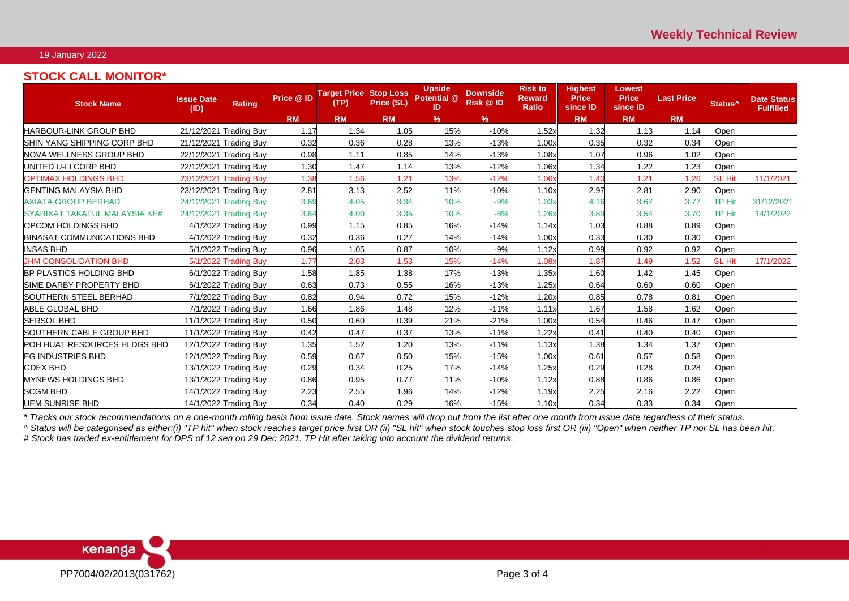#### 19 January 2022

## **STOCK CALL MONITOR\***

| <b>Stock Name</b>                 | <b>Issue Date</b><br>(ID) | <b>Rating</b>          | Price @ ID | <b>Target Price</b><br>(TP) | <b>Stop Loss</b><br>Price (SL) | <b>Upside</b><br>Potential @<br>ID | <b>Downside</b><br>Risk @ ID | <b>Risk to</b><br><b>Reward</b><br><b>Ratio</b> | <b>Highest</b><br><b>Price</b><br>since ID | Lowest<br><b>Price</b><br>since <b>ID</b> | <b>Last Price</b> | Status <sup>^</sup> | <b>Date Status</b><br><b>Fulfilled</b> |
|-----------------------------------|---------------------------|------------------------|------------|-----------------------------|--------------------------------|------------------------------------|------------------------------|-------------------------------------------------|--------------------------------------------|-------------------------------------------|-------------------|---------------------|----------------------------------------|
|                                   |                           |                        | <b>RM</b>  | <b>RM</b>                   | <b>RM</b>                      | %                                  | $\%$                         |                                                 | <b>RM</b>                                  | <b>RM</b>                                 | <b>RM</b>         |                     |                                        |
| <b>HARBOUR-LINK GROUP BHD</b>     |                           | 21/12/2021 Trading Buy | 1.17       | 1.34                        | 1.05                           | 15%                                | $-10%$                       | 1.52x                                           | 1.32                                       | 1.13                                      | 1.14              | Open                |                                        |
| SHIN YANG SHIPPING CORP BHD       |                           | 21/12/2021 Trading Buy | 0.32       | 0.36                        | 0.28                           | 13%                                | $-13%$                       | 1.00x                                           | 0.35                                       | 0.32                                      | 0.34              | Open                |                                        |
| NOVA WELLNESS GROUP BHD           |                           | 22/12/2021 Trading Buy | 0.98       | 1.11                        | 0.85                           | 14%                                | $-13%$                       | 1.08x                                           | 1.07                                       | 0.96                                      | 1.02              | Open                |                                        |
| UNITED U-LI CORP BHD              |                           | 22/12/2021 Trading Buy | 1.30       | 1.47                        | 1.14                           | 13%                                | $-12%$                       | 1.06x                                           | 1.34                                       | 1.22                                      | 1.23              | Open                |                                        |
| <b>OPTIMAX HOLDINGS BHD</b>       |                           | 23/12/2021 Trading Buy | 1.38       | 1.56                        | 1.21                           | 13%                                | $-12%$                       | 1.06x                                           | 1.40                                       | 1.21                                      | 1.26              | <b>SL Hit</b>       | 11/1/2021                              |
| <b>GENTING MALAYSIA BHD</b>       |                           | 23/12/2021 Trading Buy | 2.81       | 3.13                        | 2.52                           | 11%                                | $-10%$                       | 1.10x                                           | 2.97                                       | 2.81                                      | 2.90              | Open                |                                        |
| <b>AXIATA GROUP BERHAD</b>        |                           | 24/12/2021 Trading Buy | 3.69       | 4.05                        | 3.34                           | 10%                                | $-9%$                        | 1.03x                                           | 4.16                                       | 3.67                                      | 3.77              | <b>TP Hit</b>       | 31/12/2021                             |
| SYARIKAT TAKAFUL MALAYSIA KE#     |                           | 24/12/2021 Trading Buy | 3.64       | 4.00                        | 3.35                           | 10%                                | $-8%$                        | 1.26x                                           | 3.89                                       | 3.54                                      | 3.70              | <b>TP Hit</b>       | 14/1/2022                              |
| <b>OPCOM HOLDINGS BHD</b>         |                           | 4/1/2022 Trading Buy   | 0.99       | 1.15                        | 0.85                           | 16%                                | $-14%$                       | 1.14x                                           | 1.03                                       | 0.88                                      | 0.89              | Open                |                                        |
| <b>BINASAT COMMUNICATIONS BHD</b> |                           | 4/1/2022 Trading Buy   | 0.32       | 0.36                        | 0.27                           | 14%                                | $-14%$                       | 1.00x                                           | 0.33                                       | 0.30                                      | 0.30              | Open                |                                        |
| <b>INSAS BHD</b>                  |                           | 5/1/2022 Trading Buy   | 0.96       | 1.05                        | 0.87                           | 10%                                | $-9%$                        | 1.12x                                           | 0.99                                       | 0.92                                      | 0.92              | Open                |                                        |
| <b>JHM CONSOLIDATION BHD</b>      |                           | 5/1/2022 Trading Buy   | 1.77       | 2.03                        | 1.53                           | 15%                                | $-14%$                       | 1.08x                                           | 1.87                                       | 1.49                                      | 1.52              | <b>SL Hit</b>       | 17/1/2022                              |
| <b>BP PLASTICS HOLDING BHD</b>    |                           | 6/1/2022 Trading Buy   | 1.58       | 1.85                        | 1.38                           | 17%                                | $-13%$                       | 1.35x                                           | 1.60                                       | 1.42                                      | 1.45              | Open                |                                        |
| SIME DARBY PROPERTY BHD           |                           | 6/1/2022 Trading Buy   | 0.63       | 0.73                        | 0.55                           | 16%                                | $-13%$                       | 1.25x                                           | 0.64                                       | 0.60                                      | 0.60              | Open                |                                        |
| SOUTHERN STEEL BERHAD             |                           | 7/1/2022 Trading Buy   | 0.82       | 0.94                        | 0.72                           | 15%                                | $-12%$                       | 1.20x                                           | 0.85                                       | 0.78                                      | 0.81              | Open                |                                        |
| ABLE GLOBAL BHD                   |                           | 7/1/2022 Trading Buy   | 1.66       | 1.86                        | 1.48                           | 12%                                | $-11%$                       | 1.11x                                           | 1.67                                       | 1.58                                      | 1.62              | Open                |                                        |
| <b>SERSOL BHD</b>                 |                           | 11/1/2022 Trading Buy  | 0.50       | 0.60                        | 0.39                           | 21%                                | $-21%$                       | 1.00x                                           | 0.54                                       | 0.46                                      | 0.47              | Open                |                                        |
| SOUTHERN CABLE GROUP BHD          |                           | 11/1/2022 Trading Buy  | 0.42       | 0.47                        | 0.37                           | 13%                                | $-11%$                       | 1.22x                                           | 0.41                                       | 0.40                                      | 0.40              | Open                |                                        |
| POH HUAT RESOURCES HLDGS BHD      |                           | 12/1/2022 Trading Buy  | 1.35       | 1.52                        | 1.20                           | 13%                                | $-11%$                       | 1.13x                                           | 1.38                                       | 1.34                                      | 1.37              | Open                |                                        |
| <b>EG INDUSTRIES BHD</b>          |                           | 12/1/2022 Trading Buy  | 0.59       | 0.67                        | 0.50                           | 15%                                | $-15%$                       | 1.00x                                           | 0.61                                       | 0.57                                      | 0.58              | Open                |                                        |
| <b>GDEX BHD</b>                   |                           | 13/1/2022 Trading Buy  | 0.29       | 0.34                        | 0.25                           | 17%                                | $-14%$                       | 1.25x                                           | 0.29                                       | 0.28                                      | 0.28              | Open                |                                        |
| <b>MYNEWS HOLDINGS BHD</b>        |                           | 13/1/2022 Trading Buy  | 0.86       | 0.95                        | 0.77                           | 11%                                | $-10%$                       | 1.12x                                           | 0.88                                       | 0.86                                      | 0.86              | Open                |                                        |
| <b>SCGM BHD</b>                   |                           | 14/1/2022 Trading Buy  | 2.23       | 2.55                        | 1.96                           | 14%                                | $-12%$                       | 1.19x                                           | 2.25                                       | 2.16                                      | 2.22              | Open                |                                        |
| <b>UEM SUNRISE BHD</b>            |                           | 14/1/2022 Trading Buy  | 0.34       | 0.40                        | 0.29                           | 16%                                | $-15%$                       | 1.10x                                           | 0.34                                       | 0.33                                      | 0.34              | Open                |                                        |

*\* Tracks our stock recommendations on a one-month rolling basis from issue date. Stock names will drop out from the list after one month from issue date regardless of their status.*

*^ Status will be categorised as either:(i) "TP hit" when stock reaches target price first OR (ii) "SL hit" when stock touches stop loss first OR (iii) "Open" when neither TP nor SL has been hit.*

*# Stock has traded ex-entitlement for DPS of 12 sen on 29 Dec 2021. TP Hit after taking into account the dividend returns.*